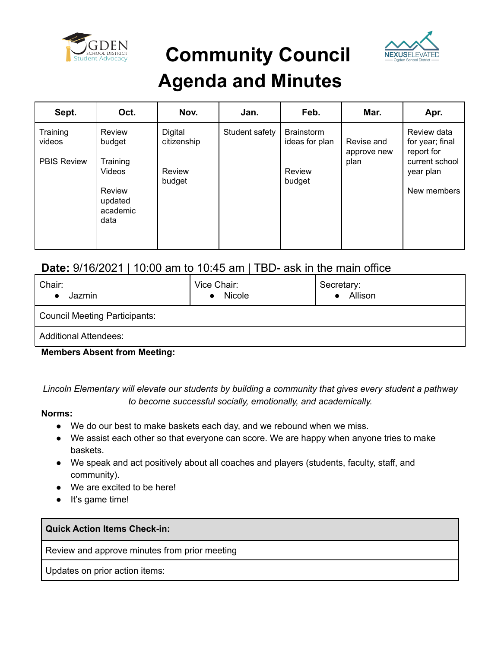

**Community Council**



## **Agenda and Minutes**

| Sept.                                    | Oct.                                            | Nov.                   | Jan.           | Feb.                                | Mar.                              | Apr.                                                           |
|------------------------------------------|-------------------------------------------------|------------------------|----------------|-------------------------------------|-----------------------------------|----------------------------------------------------------------|
| Training<br>videos<br><b>PBIS Review</b> | Review<br>budget<br>Training                    | Digital<br>citizenship | Student safety | <b>Brainstorm</b><br>ideas for plan | Revise and<br>approve new<br>plan | Review data<br>for year; final<br>report for<br>current school |
|                                          | Videos<br>Review<br>updated<br>academic<br>data | Review<br>budget       |                | Review<br>budget                    |                                   | year plan<br>New members                                       |

### **Date:** 9/16/2021 | 10:00 am to 10:45 am | TBD- ask in the main office

| Chair:<br>Jazmin                     | Vice Chair:<br>Nicole<br>$\bullet$ | Secretary:<br>Allison |  |  |  |  |
|--------------------------------------|------------------------------------|-----------------------|--|--|--|--|
| <b>Council Meeting Participants:</b> |                                    |                       |  |  |  |  |
| <b>Additional Attendees:</b>         |                                    |                       |  |  |  |  |

**Members Absent from Meeting:**

*Lincoln Elementary will elevate our students by building a community that gives every student a pathway to become successful socially, emotionally, and academically.*

#### **Norms:**

- We do our best to make baskets each day, and we rebound when we miss.
- We assist each other so that everyone can score. We are happy when anyone tries to make baskets.
- We speak and act positively about all coaches and players (students, faculty, staff, and community).
- We are excited to be here!
- It's game time!

**Quick Action Items Check-in:**

Review and approve minutes from prior meeting

Updates on prior action items: